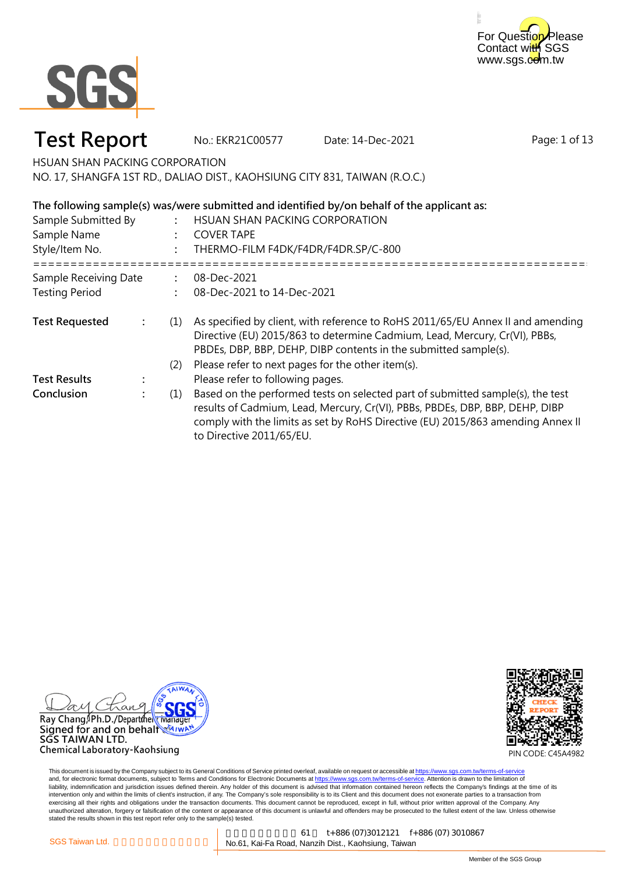



No.: EKR21C00577 Date: 14-Dec-2021

Page: 1 of 13

HSUAN SHAN PACKING CORPORATION

NO. 17, SHANGFA 1ST RD., DALIAO DIST., KAOHSIUNG CITY 831, TAIWAN (R.O.C.)

### **The following sample(s) was/were submitted and identified by/on behalf of the applicant as:**

| Sample Submitted By<br>Sample Name<br>Style/Item No. |     | HSUAN SHAN PACKING CORPORATION<br><b>COVER TAPE</b><br>THERMO-FILM F4DK/F4DR/F4DR.SP/C-800                                                                                                                                                                                    |
|------------------------------------------------------|-----|-------------------------------------------------------------------------------------------------------------------------------------------------------------------------------------------------------------------------------------------------------------------------------|
| Sample Receiving Date<br><b>Testing Period</b>       |     | 08-Dec-2021<br>08-Dec-2021 to 14-Dec-2021                                                                                                                                                                                                                                     |
| <b>Test Requested</b>                                | (1) | As specified by client, with reference to RoHS 2011/65/EU Annex II and amending<br>Directive (EU) 2015/863 to determine Cadmium, Lead, Mercury, Cr(VI), PBBs,<br>PBDEs, DBP, BBP, DEHP, DIBP contents in the submitted sample(s).                                             |
|                                                      | (2) | Please refer to next pages for the other item(s).                                                                                                                                                                                                                             |
| <b>Test Results</b>                                  |     | Please refer to following pages.                                                                                                                                                                                                                                              |
| Conclusion                                           | (1) | Based on the performed tests on selected part of submitted sample(s), the test<br>results of Cadmium, Lead, Mercury, Cr(VI), PBBs, PBDEs, DBP, BBP, DEHP, DIBP<br>comply with the limits as set by RoHS Directive (EU) 2015/863 amending Annex II<br>to Directive 2011/65/EU. |



SGS TAIWAN LTD. Chemical Laboratory-Kaohsiung

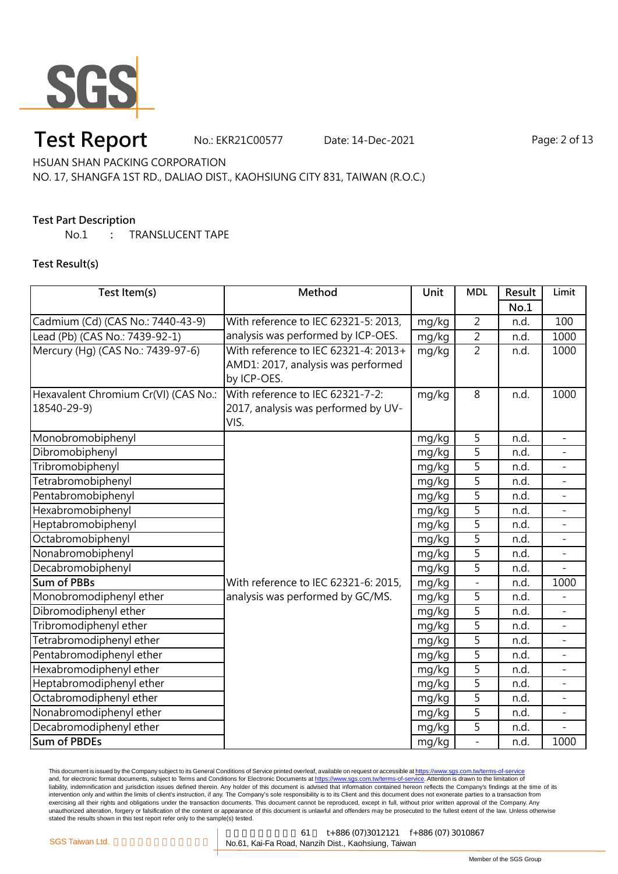

No.: EKR21C00577 Date: 14-Dec-2021 Page: 2 of 13

HSUAN SHAN PACKING CORPORATION

NO. 17, SHANGFA 1ST RD., DALIAO DIST., KAOHSIUNG CITY 831, TAIWAN (R.O.C.)

### **Test Part Description**

No.1 **:** TRANSLUCENT TAPE

**Test Result(s)**

| Test Item(s)                         | Method                               | Unit  | <b>MDL</b>     | Result | Limit                    |
|--------------------------------------|--------------------------------------|-------|----------------|--------|--------------------------|
|                                      |                                      |       |                | No.1   |                          |
| Cadmium (Cd) (CAS No.: 7440-43-9)    | With reference to IEC 62321-5: 2013, | mg/kg | $\overline{2}$ | n.d.   | 100                      |
| Lead (Pb) (CAS No.: 7439-92-1)       | analysis was performed by ICP-OES.   | mg/kg | $\overline{2}$ | n.d.   | 1000                     |
| Mercury (Hg) (CAS No.: 7439-97-6)    | With reference to IEC 62321-4: 2013+ | mg/kg | $\overline{2}$ | n.d.   | 1000                     |
|                                      | AMD1: 2017, analysis was performed   |       |                |        |                          |
|                                      | by ICP-OES.                          |       |                |        |                          |
| Hexavalent Chromium Cr(VI) (CAS No.: | With reference to IEC 62321-7-2:     | mg/kg | 8              | n.d.   | 1000                     |
| 18540-29-9)                          | 2017, analysis was performed by UV-  |       |                |        |                          |
|                                      | VIS.                                 |       |                |        |                          |
| Monobromobiphenyl                    |                                      | mg/kg | 5              | n.d.   | $\overline{a}$           |
| Dibromobiphenyl                      |                                      | mg/kg | 5              | n.d.   |                          |
| Tribromobiphenyl                     |                                      | mg/kg | 5              | n.d.   |                          |
| Tetrabromobiphenyl                   |                                      | mg/kg | 5              | n.d.   |                          |
| Pentabromobiphenyl                   |                                      | mg/kg | 5              | n.d.   |                          |
| Hexabromobiphenyl                    |                                      | mg/kg | 5              | n.d.   | ÷,                       |
| Heptabromobiphenyl                   |                                      | mg/kg | $\overline{5}$ | n.d.   |                          |
| Octabromobiphenyl                    |                                      | mg/kg | 5              | n.d.   |                          |
| Nonabromobiphenyl                    |                                      | mg/kg | 5              | n.d.   |                          |
| Decabromobiphenyl                    |                                      | mg/kg | 5              | n.d.   |                          |
| <b>Sum of PBBs</b>                   | With reference to IEC 62321-6: 2015, | mg/kg |                | n.d.   | 1000                     |
| Monobromodiphenyl ether              | analysis was performed by GC/MS.     | mg/kg | 5              | n.d.   |                          |
| Dibromodiphenyl ether                |                                      | mg/kg | 5              | n.d.   |                          |
| Tribromodiphenyl ether               |                                      | mg/kg | $\overline{5}$ | n.d.   |                          |
| Tetrabromodiphenyl ether             |                                      | mg/kg | 5              | n.d.   |                          |
| Pentabromodiphenyl ether             |                                      | mg/kg | $\overline{5}$ | n.d.   |                          |
| Hexabromodiphenyl ether              |                                      | mg/kg | 5              | n.d.   |                          |
| Heptabromodiphenyl ether             |                                      | mg/kg | 5              | n.d.   | $\overline{\phantom{0}}$ |
| Octabromodiphenyl ether              |                                      | mg/kg | 5              | n.d.   | $\overline{a}$           |
| Nonabromodiphenyl ether              |                                      | mg/kg | 5              | n.d.   |                          |
| Decabromodiphenyl ether              |                                      | mg/kg | 5              | n.d.   |                          |
| <b>Sum of PBDEs</b>                  |                                      | mg/kg | $\overline{a}$ | n.d.   | 1000                     |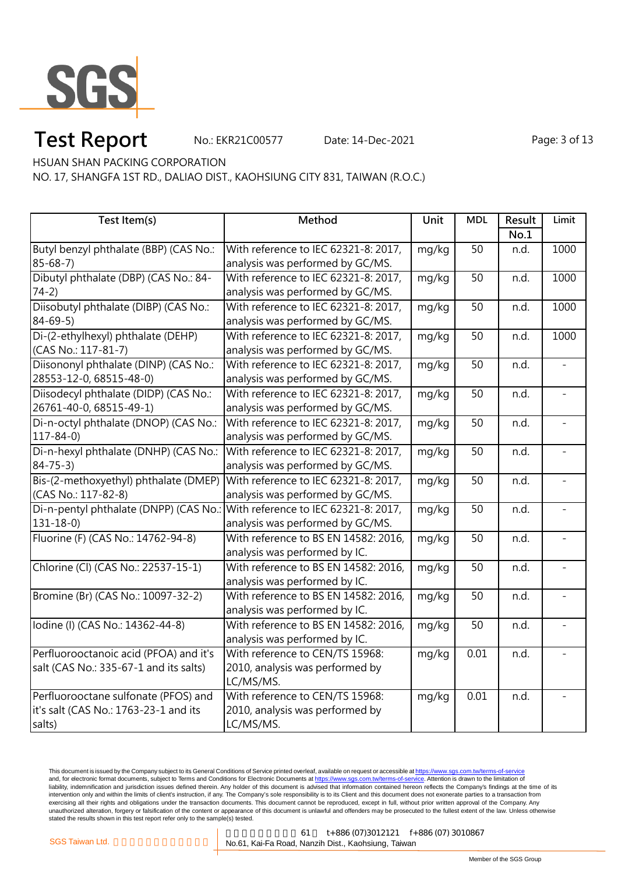

No.: EKR21C00577 Date: 14-Dec-2021 Page: 3 of 13

HSUAN SHAN PACKING CORPORATION

NO. 17, SHANGFA 1ST RD., DALIAO DIST., KAOHSIUNG CITY 831, TAIWAN (R.O.C.)

| Test Item(s)                                                                | Method                               | Unit  | <b>MDL</b>      | Result | Limit |
|-----------------------------------------------------------------------------|--------------------------------------|-------|-----------------|--------|-------|
|                                                                             |                                      |       |                 | No.1   |       |
| Butyl benzyl phthalate (BBP) (CAS No.:                                      | With reference to IEC 62321-8: 2017, | mg/kg | 50              | n.d.   | 1000  |
| $85 - 68 - 7$                                                               | analysis was performed by GC/MS.     |       |                 |        |       |
| Dibutyl phthalate (DBP) (CAS No.: 84-                                       | With reference to IEC 62321-8: 2017, | mg/kg | $\overline{50}$ | n.d.   | 1000  |
| $74-2)$                                                                     | analysis was performed by GC/MS.     |       |                 |        |       |
| Diisobutyl phthalate (DIBP) (CAS No.:                                       | With reference to IEC 62321-8: 2017, | mg/kg | 50              | n.d.   | 1000  |
| $84 - 69 - 5$                                                               | analysis was performed by GC/MS.     |       |                 |        |       |
| Di-(2-ethylhexyl) phthalate (DEHP)                                          | With reference to IEC 62321-8: 2017, | mg/kg | 50              | n.d.   | 1000  |
| (CAS No.: 117-81-7)                                                         | analysis was performed by GC/MS.     |       |                 |        |       |
| Diisononyl phthalate (DINP) (CAS No.:                                       | With reference to IEC 62321-8: 2017, | mg/kg | 50              | n.d.   |       |
| 28553-12-0, 68515-48-0)                                                     | analysis was performed by GC/MS.     |       |                 |        |       |
| Diisodecyl phthalate (DIDP) (CAS No.:                                       | With reference to IEC 62321-8: 2017, | mg/kg | 50              | n.d.   |       |
| 26761-40-0, 68515-49-1)                                                     | analysis was performed by GC/MS.     |       |                 |        |       |
| Di-n-octyl phthalate (DNOP) (CAS No.:                                       | With reference to IEC 62321-8: 2017, | mg/kg | 50              | n.d.   |       |
| $117 - 84 - 0$                                                              | analysis was performed by GC/MS.     |       |                 |        |       |
| Di-n-hexyl phthalate (DNHP) (CAS No.:                                       | With reference to IEC 62321-8: 2017, | mg/kg | 50              | n.d.   |       |
| $84 - 75 - 3$                                                               | analysis was performed by GC/MS.     |       |                 |        |       |
| Bis-(2-methoxyethyl) phthalate (DMEP)                                       | With reference to IEC 62321-8: 2017, | mg/kg | 50              | n.d.   |       |
| (CAS No.: 117-82-8)                                                         | analysis was performed by GC/MS.     |       |                 |        |       |
| Di-n-pentyl phthalate (DNPP) (CAS No.: With reference to IEC 62321-8: 2017, |                                      | mg/kg | $\overline{50}$ | n.d.   |       |
| $131 - 18 - 0$                                                              | analysis was performed by GC/MS.     |       |                 |        |       |
| Fluorine (F) (CAS No.: 14762-94-8)                                          | With reference to BS EN 14582: 2016, | mg/kg | $\overline{50}$ | n.d.   |       |
|                                                                             | analysis was performed by IC.        |       |                 |        |       |
| Chlorine (Cl) (CAS No.: 22537-15-1)                                         | With reference to BS EN 14582: 2016, | mg/kg | 50              | n.d.   |       |
|                                                                             | analysis was performed by IC.        |       |                 |        |       |
| Bromine (Br) (CAS No.: 10097-32-2)                                          | With reference to BS EN 14582: 2016, | mg/kg | 50              | n.d.   |       |
|                                                                             | analysis was performed by IC.        |       |                 |        |       |
| Iodine (I) (CAS No.: 14362-44-8)                                            | With reference to BS EN 14582: 2016, | mg/kg | 50              | n.d.   |       |
|                                                                             | analysis was performed by IC.        |       |                 |        |       |
| Perfluorooctanoic acid (PFOA) and it's                                      | With reference to CEN/TS 15968:      | mg/kg | 0.01            | n.d.   |       |
| salt (CAS No.: 335-67-1 and its salts)                                      | 2010, analysis was performed by      |       |                 |        |       |
|                                                                             | LC/MS/MS.                            |       |                 |        |       |
| Perfluorooctane sulfonate (PFOS) and                                        | With reference to CEN/TS 15968:      | mg/kg | 0.01            | n.d.   |       |
| it's salt (CAS No.: 1763-23-1 and its                                       | 2010, analysis was performed by      |       |                 |        |       |
| salts)                                                                      | LC/MS/MS.                            |       |                 |        |       |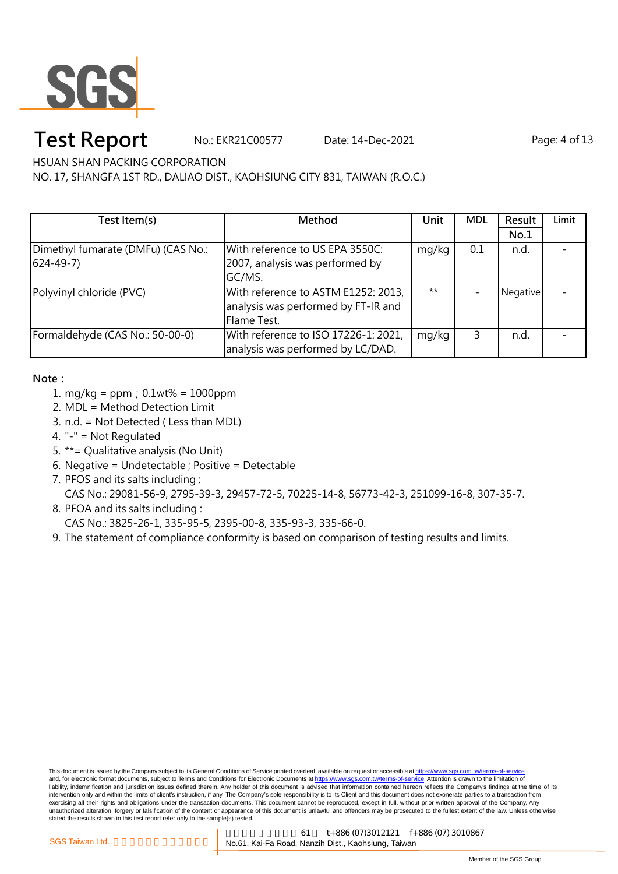

No.: EKR21C00577 Date: 14-Dec-2021 Page: 4 of 13

HSUAN SHAN PACKING CORPORATION

NO. 17, SHANGFA 1ST RD., DALIAO DIST., KAOHSIUNG CITY 831, TAIWAN (R.O.C.)

| Test Item(s)                                           | Method                                                                                    | Unit  | <b>MDL</b> | Result   | Limit |
|--------------------------------------------------------|-------------------------------------------------------------------------------------------|-------|------------|----------|-------|
|                                                        |                                                                                           |       |            | No.1     |       |
| Dimethyl fumarate (DMFu) (CAS No.:<br>$(624 - 49 - 7)$ | With reference to US EPA 3550C:<br>2007, analysis was performed by<br>GC/MS.              | mg/kg | 0.1        | n.d.     |       |
| Polyvinyl chloride (PVC)                               | With reference to ASTM E1252: 2013,<br>analysis was performed by FT-IR and<br>Flame Test. | $***$ |            | Negative |       |
| Formaldehyde (CAS No.: 50-00-0)                        | With reference to ISO 17226-1: 2021,<br>analysis was performed by LC/DAD.                 | mg/kg | 3          | n.d.     |       |

### **Note:**

- 1. mg/kg = ppm;0.1wt% = 1000ppm
- 2. MDL = Method Detection Limit
- 3. n.d. = Not Detected ( Less than MDL)
- 4. "-" = Not Regulated
- 5. \*\*= Qualitative analysis (No Unit)
- 6. Negative = Undetectable ; Positive = Detectable
- 7. PFOS and its salts including :

CAS No.: 29081-56-9, 2795-39-3, 29457-72-5, 70225-14-8, 56773-42-3, 251099-16-8, 307-35-7.

- 8. PFOA and its salts including :
	- CAS No.: 3825-26-1, 335-95-5, 2395-00-8, 335-93-3, 335-66-0.
- 9. The statement of compliance conformity is based on comparison of testing results and limits.

This document is issued by the Company subject to its General Conditions of Service printed overleaf, available on request or accessible at https://www.sgs.com.tw/terms-of-service and, for electronic format documents, subject to Terms and Conditions for Electronic Documents at https://www.sgs.com.tw/terms-of-service. Attention is drawn to the limitation of liability, indemnification and jurisdiction issues defined therein. Any holder of this document is advised that information contained hereon reflects the Company's findings at the time of its intervention only and within the limits of client's instruction, if any. The Company's sole responsibility is to its Client and this document does not exonerate parties to a transaction from exercising all their rights and obligations under the transaction documents. This document cannot be reproduced, except in full, without prior written approval of the Company. Any<br>unauthorized alteration, forgery or falsif stated the results shown in this test report refer only to the sample(s) tested.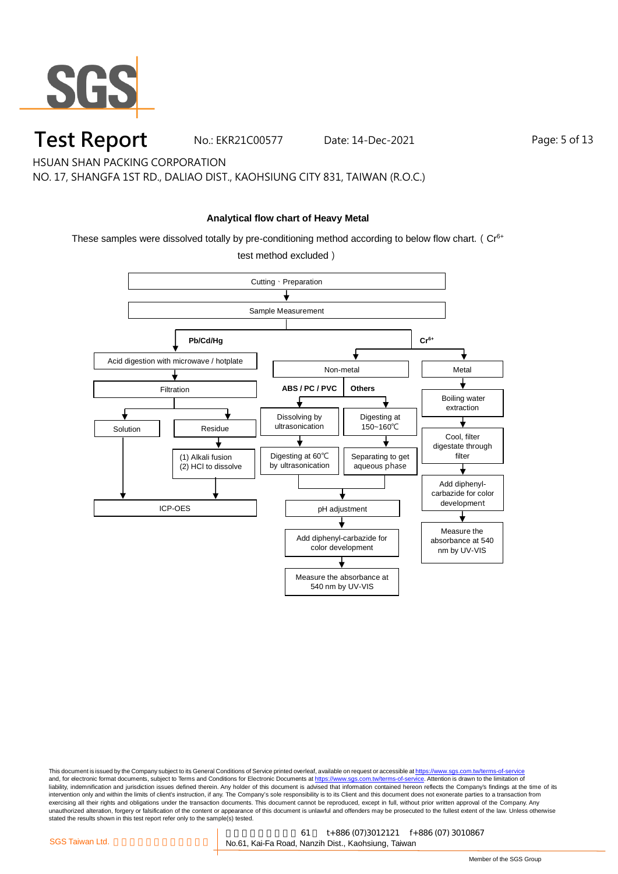

No.: EKR21C00577 Date: 14-Dec-2021 Page: 5 of 13

HSUAN SHAN PACKING CORPORATION

NO. 17, SHANGFA 1ST RD., DALIAO DIST., KAOHSIUNG CITY 831, TAIWAN (R.O.C.)

### **Analytical flow chart of Heavy Metal**

These samples were dissolved totally by pre-conditioning method according to below flow chart. ( $Cr<sup>6+</sup>$ 

test method excluded)

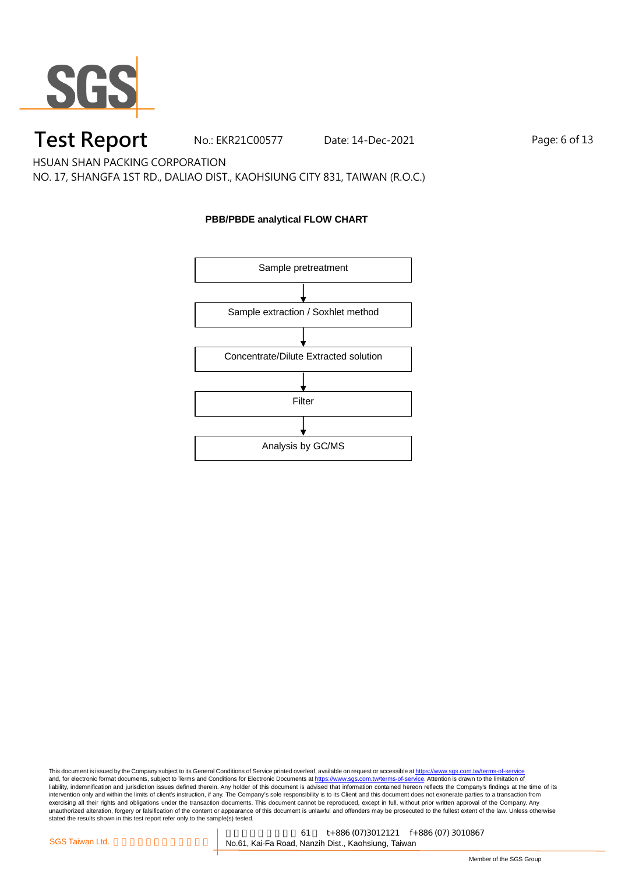

No.: EKR21C00577 Date: 14-Dec-2021 Page: 6 of 13

HSUAN SHAN PACKING CORPORATION

NO. 17, SHANGFA 1ST RD., DALIAO DIST., KAOHSIUNG CITY 831, TAIWAN (R.O.C.)

### **PBB/PBDE analytical FLOW CHART**

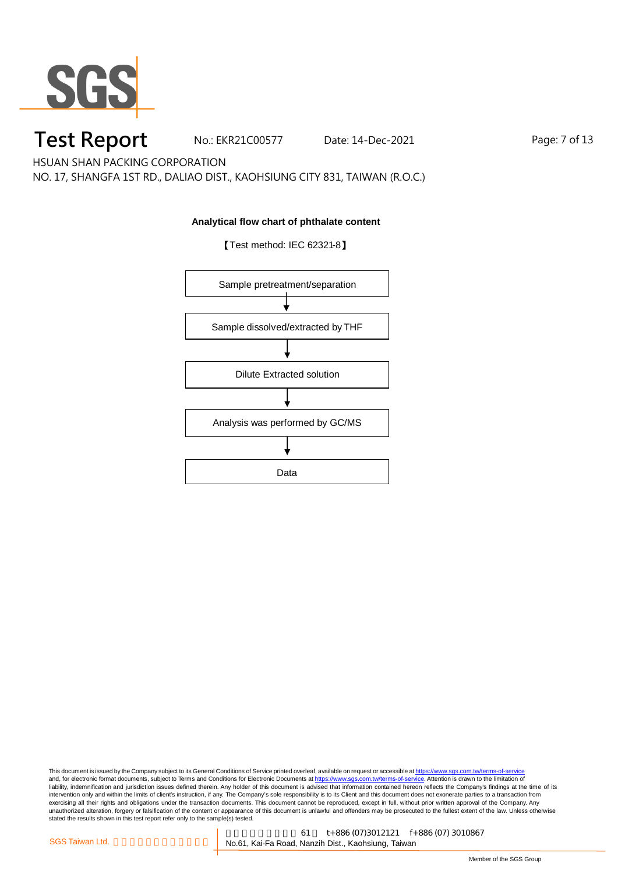

No.: EKR21C00577 Date: 14-Dec-2021 Page: 7 of 13

HSUAN SHAN PACKING CORPORATION

NO. 17, SHANGFA 1ST RD., DALIAO DIST., KAOHSIUNG CITY 831, TAIWAN (R.O.C.)

### **Analytical flow chart of phthalate content**



【Test method: IEC 62321-8】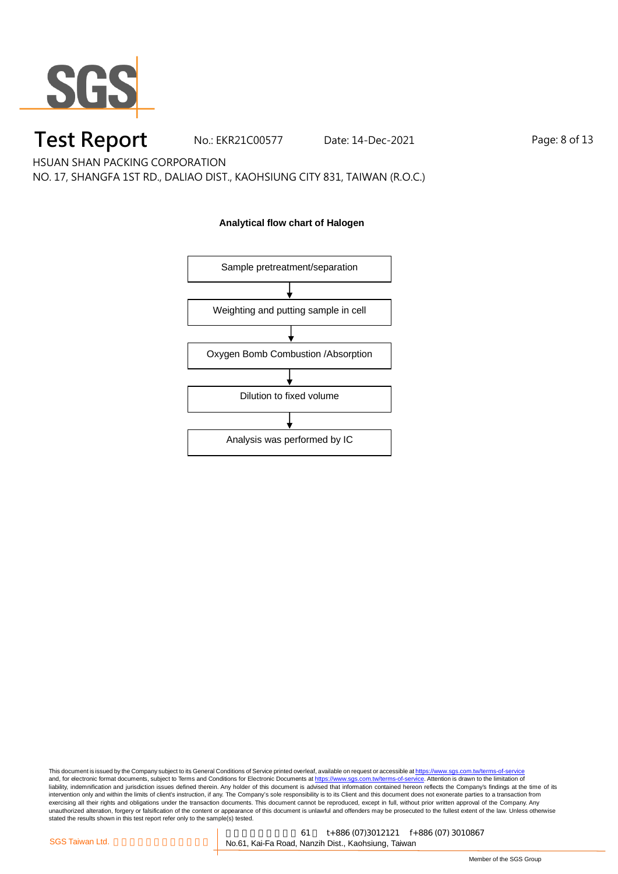

No.: EKR21C00577 Date: 14-Dec-2021 Page: 8 of 13

HSUAN SHAN PACKING CORPORATION

NO. 17, SHANGFA 1ST RD., DALIAO DIST., KAOHSIUNG CITY 831, TAIWAN (R.O.C.)

### **Analytical flow chart of Halogen**

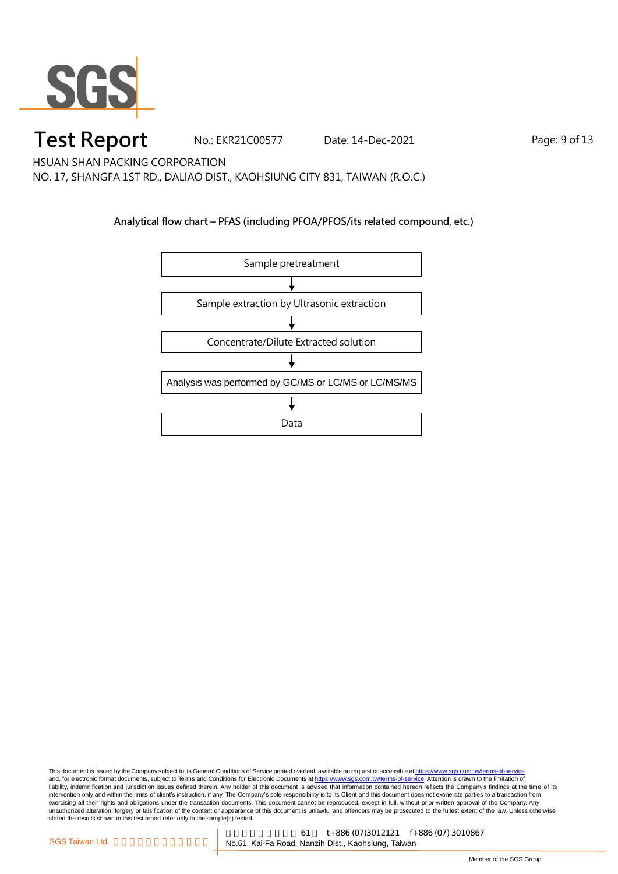

No.: EKR21C00577 Date: 14-Dec-2021 Page: 9 of 13

HSUAN SHAN PACKING CORPORATION

NO. 17, SHANGFA 1ST RD., DALIAO DIST., KAOHSIUNG CITY 831, TAIWAN (R.O.C.)

### **Analytical flow chart – PFAS (including PFOA/PFOS/its related compound, etc.)**

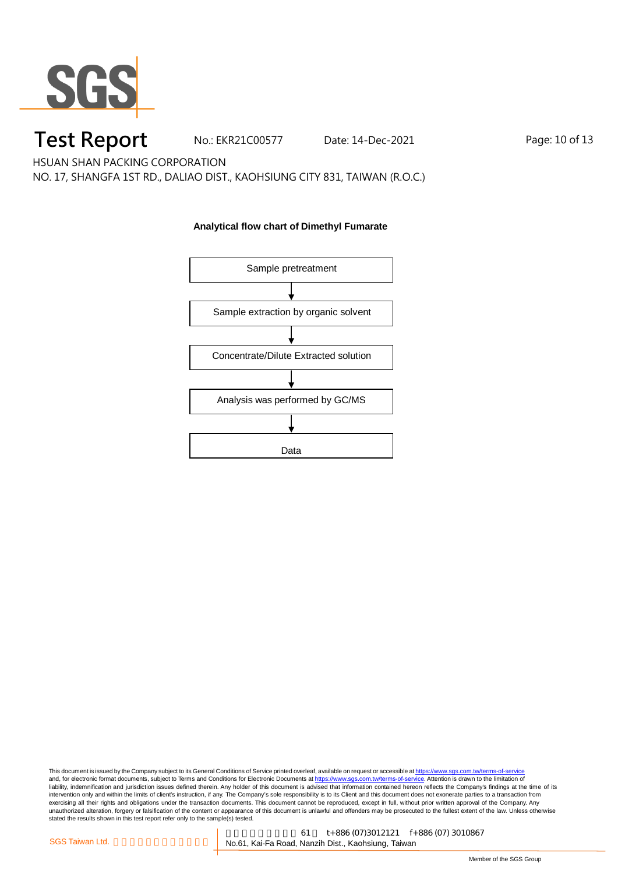

No.: EKR21C00577 Date: 14-Dec-2021 Page: 10 of 13

HSUAN SHAN PACKING CORPORATION

NO. 17, SHANGFA 1ST RD., DALIAO DIST., KAOHSIUNG CITY 831, TAIWAN (R.O.C.)

### **Analytical flow chart of Dimethyl Fumarate**

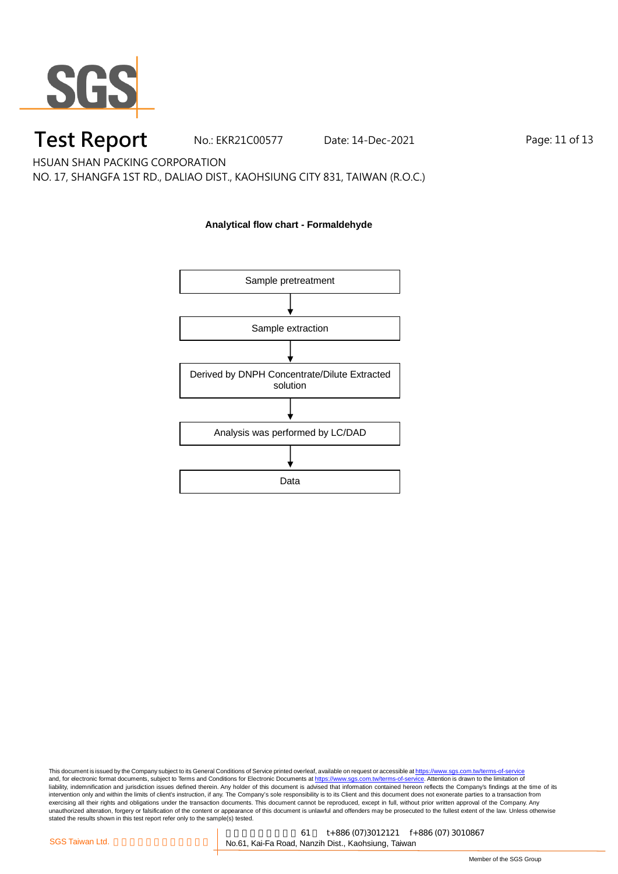

No.: EKR21C00577 Date: 14-Dec-2021 Page: 11 of 13

HSUAN SHAN PACKING CORPORATION

NO. 17, SHANGFA 1ST RD., DALIAO DIST., KAOHSIUNG CITY 831, TAIWAN (R.O.C.)

### **Analytical flow chart - Formaldehyde**

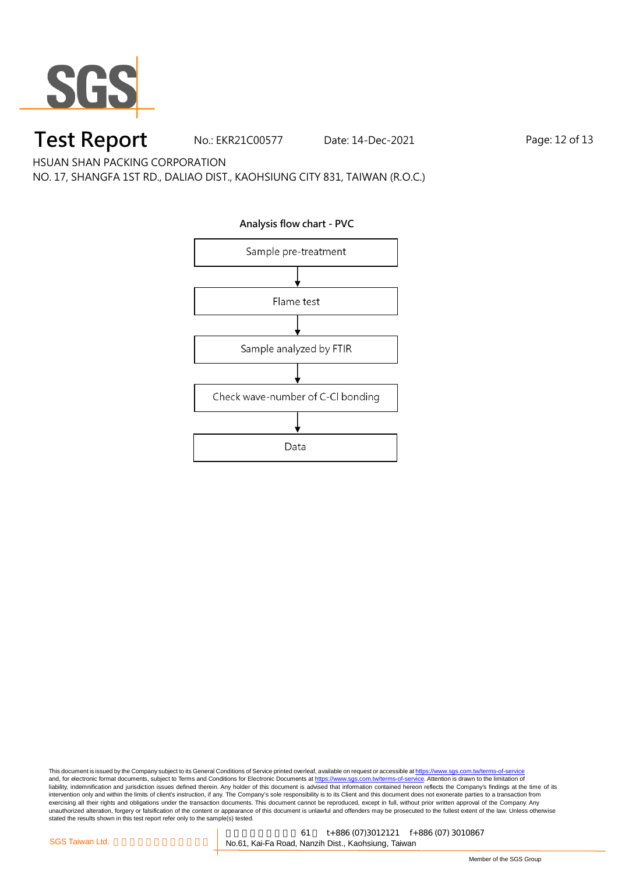

No.: EKR21C00577 Date: 14-Dec-2021 Page: 12 of 13

HSUAN SHAN PACKING CORPORATION

NO. 17, SHANGFA 1ST RD., DALIAO DIST., KAOHSIUNG CITY 831, TAIWAN (R.O.C.)